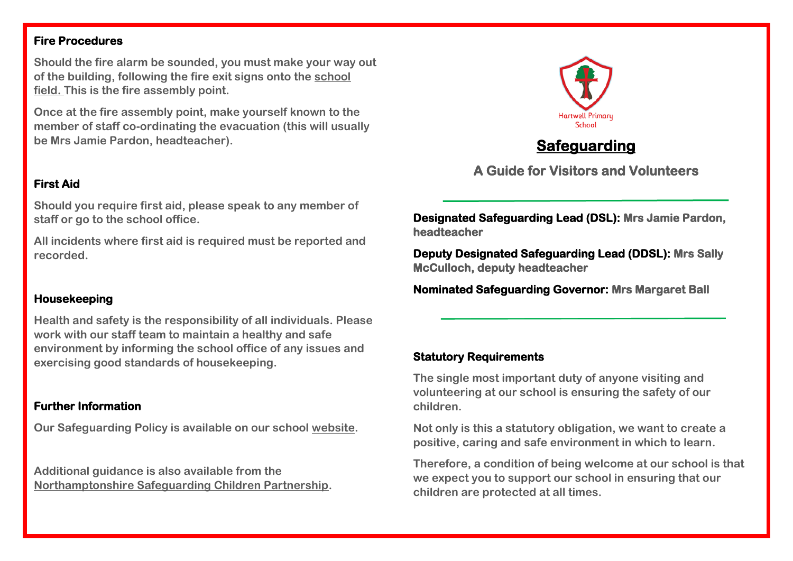### **Fire Procedures**

**Should the fire alarm be sounded, you must make your way out of the building, following the fire exit signs onto the school field. This is the fire assembly point.**

**Once at the fire assembly point, make yourself known to the member of staff co-ordinating the evacuation (this will usually be Mrs Jamie Pardon, headteacher).**

## **First Aid**

**Should you require first aid, please speak to any member of staff or go to the school office.** 

**All incidents where first aid is required must be reported and recorded.**

## **Housekeeping**

**Health and safety is the responsibility of all individuals. Please work with our staff team to maintain a healthy and safe environment by informing the school office of any issues and exercising good standards of housekeeping.**

## **Further Information**

**Our Safeguarding Policy is available on our school [website.](https://www.hartwellschool.com/our-school/policies)**

**Additional guidance is also available from the [Northamptonshire Safeguarding Children Partnership.](http://www.northamptonshirescb.org.uk/about-northamptonshire-safeguarding-children-partnership/the-partnership/)**



# **Safeguarding**

**A Guide for Visitors and Volunteers** 

**Designated Safeguarding Lead (DSL): Mrs Jamie Pardon, headteacher** 

**Deputy Designated Safeguarding Lead (DDSL): Mrs Sally McCulloch, deputy headteacher** 

**Nominated Safeguarding Governor: Mrs Margaret Ball** 

## **Statutory Requirements**

**The single most important duty of anyone visiting and volunteering at our school is ensuring the safety of our children.**

**Not only is this a statutory obligation, we want to create a positive, caring and safe environment in which to learn.**

**Therefore, a condition of being welcome at our school is that we expect you to support our school in ensuring that our children are protected at all times.**